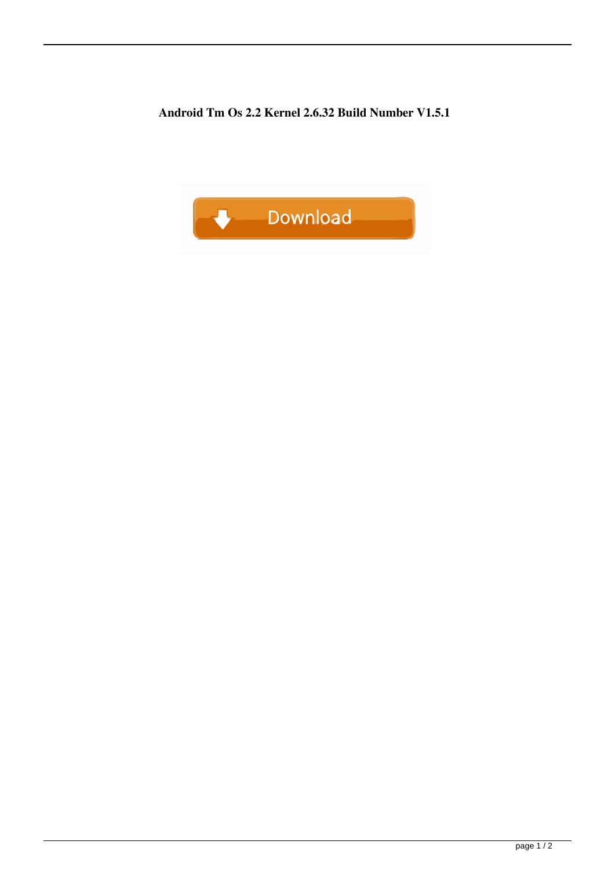**Android Tm Os 2.2 Kernel 2.6.32 Build Number V1.5.1**